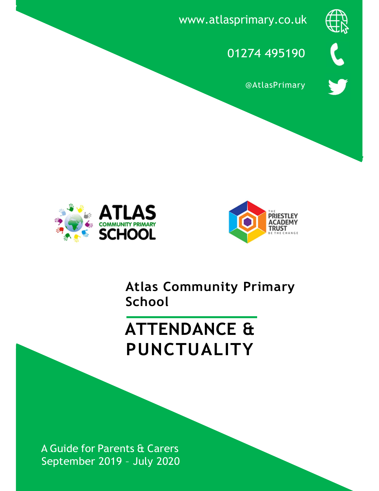

www.atlasprimary.co.uk



**@AtlasPrimary** 





Atlas Community Primary School

# ATTENDANCE & PUNCTUALITY

A Guide for Parents & Carers September 2019 – July 2020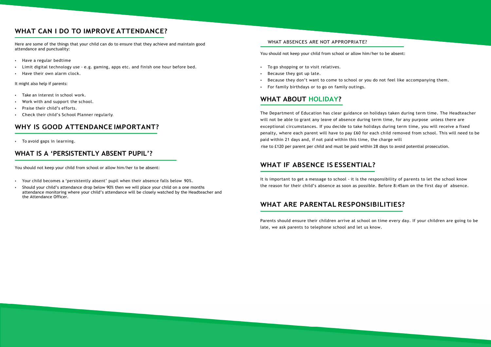### WHAT CAN I DO TO IMPROVE ATTENDANCE?

Here are some of the things that your child can do to ensure that they achieve and maintain good attendance and punctuality:

- Have a regular bedtime
- Limit digital technology use e.g. gaming, apps etc. and finish one hour before bed.
- Have their own alarm clock.

It might also help if parents:

- Take an interest in school work.
- Work with and support the school.
- Praise their child's efforts.
- Check their child's School Planner regularly.

### WHY IS GOOD ATTENDANCE IMPORTANT?

• To avoid gaps in learning.

### WHAT IS A 'PERSISTENTLY ABSENT PUPIL'?

You should not keep your child from school or allow him/her to be absent:

- Your child becomes a 'persistently absent' pupil when their absence falls below 90%.
- Should your child's attendance drop below 90% then we will place your child on a one months attendance monitoring where your child's attendance will be closely watched by the Headteacher and the Attendance Officer.

#### WHAT ABSENCES ARE NOT APPROPRIATE?

You should not keep your child from school or allow him/her to be absent:

- To go shopping or to visit relatives.
- Because they got up late.
- Because they don't want to come to school or you do not feel like accompanying them.
- For family birthdays or to go on family outings.

### WHAT ABOUT HOLIDAY?

The Department of Education has clear guidance on holidays taken during term time. The Headteacher will not be able to grant any leave of absence during term time, for any purpose unless there are exceptional circumstances. If you decide to take holidays during term time, you will receive a fixed penalty, where each parent will have to pay £60 for each child removed from school. This will need to be paid within 21 days and, if not paid within this time, the charge will rise to £120 per parent per child and must be paid within 28 days to avoid potential prosecution.

## WHAT IF ABSENCE IS ESSENTIAL?

It is important to get a message to school - it is the responsibility of parents to let the school know the reason for their child's absence as soon as possible. Before 8:45am on the first day of absence.

### WHAT ARE PARENTAL RESPONSIBILITIES?

Parents should ensure their children arrive at school on time every day. If your children are going to be late, we ask parents to telephone school and let us know.